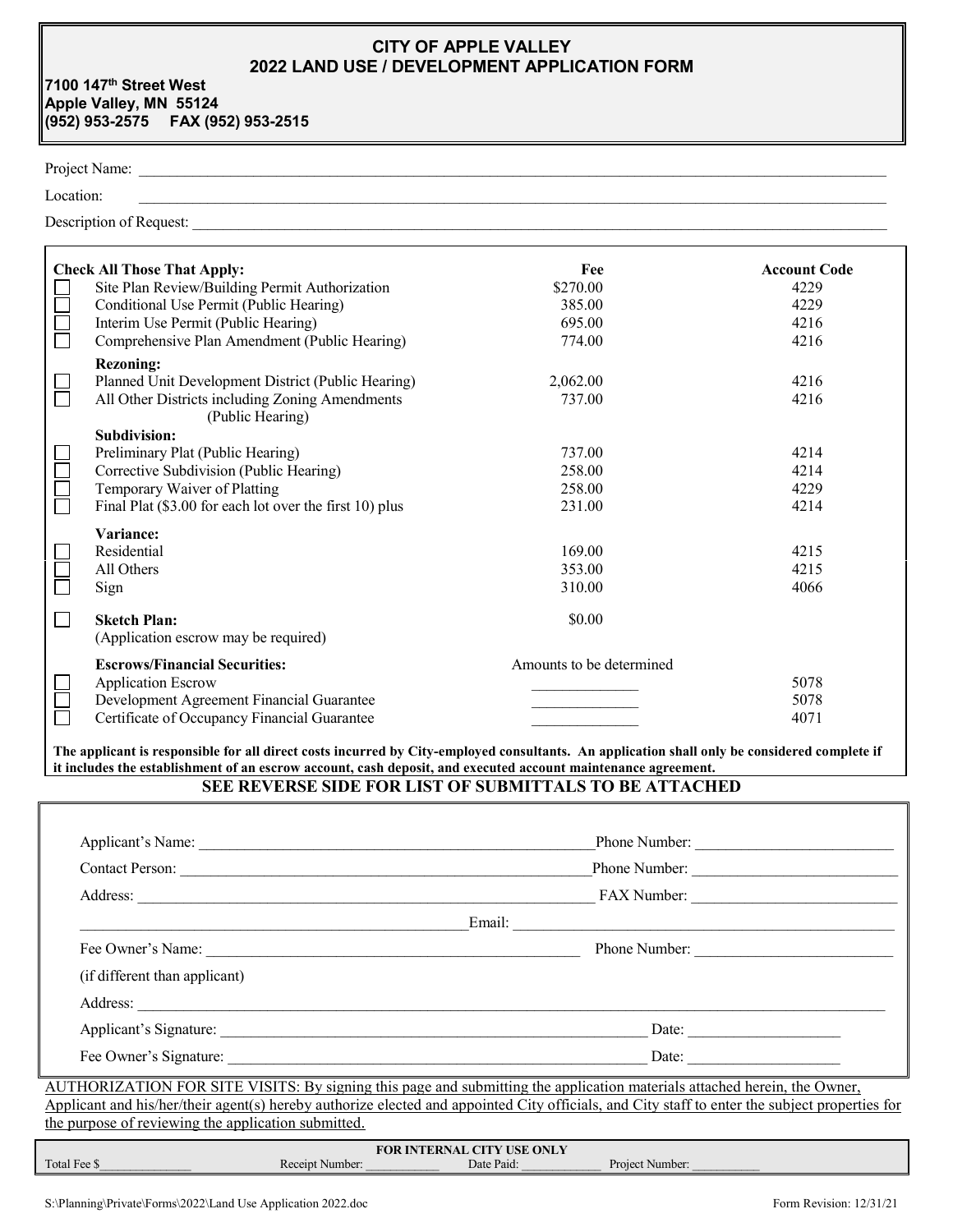# **CITY OF APPLE VALLEY 2022 LAND USE / DEVELOPMENT APPLICATION FORM**

**7100 147th Street West Apple Valley, MN 55124 (952) 953-2575 FAX (952) 953-2515**

# Project Name: \_\_\_\_\_\_\_\_\_\_\_\_\_\_\_\_\_\_\_\_\_\_\_\_\_\_\_\_\_\_\_\_\_\_\_\_\_\_\_\_\_\_\_\_\_\_\_\_\_\_\_\_\_\_\_\_\_\_\_\_\_\_\_\_\_\_\_\_\_\_\_\_\_\_\_\_\_\_\_\_\_\_\_\_\_\_\_\_\_\_\_\_\_\_\_\_\_\_

 $Location:$ 

Description of Request: \_\_\_\_\_\_\_\_\_\_\_\_\_\_\_\_\_\_\_\_\_\_\_\_\_\_\_\_\_\_\_\_\_\_\_\_\_\_\_\_\_\_\_\_\_\_\_\_\_\_\_\_\_\_\_\_\_\_\_\_\_\_\_\_\_\_\_\_\_\_\_\_\_\_\_\_\_\_\_\_\_\_\_\_\_\_\_\_\_\_\_

| <b>Check All Those That Apply:</b>                                  | Fee                      | <b>Account Code</b> |
|---------------------------------------------------------------------|--------------------------|---------------------|
| Site Plan Review/Building Permit Authorization                      | \$270.00                 | 4229                |
| Conditional Use Permit (Public Hearing)                             | 385.00                   | 4229                |
| Interim Use Permit (Public Hearing)                                 | 695.00                   | 4216                |
| Comprehensive Plan Amendment (Public Hearing)                       | 774.00                   | 4216                |
| <b>Rezoning:</b>                                                    |                          |                     |
| Planned Unit Development District (Public Hearing)                  | 2,062.00                 | 4216                |
| All Other Districts including Zoning Amendments<br>(Public Hearing) | 737.00                   | 4216                |
| Subdivision:                                                        |                          |                     |
| Preliminary Plat (Public Hearing)                                   | 737.00                   | 4214                |
| Corrective Subdivision (Public Hearing)                             | 258.00                   | 4214                |
| Temporary Waiver of Platting                                        | 258.00                   | 4229                |
| Final Plat (\$3.00 for each lot over the first 10) plus             | 231.00                   | 4214                |
| Variance:                                                           |                          |                     |
| Residential                                                         | 169.00                   | 4215                |
| All Others                                                          | 353.00                   | 4215                |
| Sign                                                                | 310.00                   | 4066                |
| <b>Sketch Plan:</b>                                                 | \$0.00                   |                     |
| (Application escrow may be required)                                |                          |                     |
| <b>Escrows/Financial Securities:</b>                                | Amounts to be determined |                     |
| <b>Application Escrow</b>                                           |                          | 5078                |
| Development Agreement Financial Guarantee                           |                          | 5078                |
| Certificate of Occupancy Financial Guarantee                        |                          | 4071                |

**The applicant is responsible for all direct costs incurred by City-employed consultants. An application shall only be considered complete if it includes the establishment of an escrow account, cash deposit, and executed account maintenance agreement.**

## **SEE REVERSE SIDE FOR LIST OF SUBMITTALS TO BE ATTACHED**

| Applicant's Name:             | Phone Number:                |  |  |  |
|-------------------------------|------------------------------|--|--|--|
| <b>Contact Person:</b>        | Phone Number:<br>FAX Number: |  |  |  |
|                               |                              |  |  |  |
|                               | Email:                       |  |  |  |
| Fee Owner's Name:             | Phone Number:                |  |  |  |
| (if different than applicant) |                              |  |  |  |
| Address:                      |                              |  |  |  |
|                               | Date:                        |  |  |  |
| Fee Owner's Signature:        | Date:                        |  |  |  |

AUTHORIZATION FOR SITE VISITS: By signing this page and submitting the application materials attached herein, the Owner, Applicant and his/her/their agent(s) hereby authorize elected and appointed City officials, and City staff to enter the subject properties for the purpose of reviewing the application submitted.

| <b>FOR INTERNAL CITY USE ONLY</b> |          |            |                 |  |  |  |  |
|-----------------------------------|----------|------------|-----------------|--|--|--|--|
| Total Fee \$                      | Number:  | Date Paid: | Project Number: |  |  |  |  |
| _________                         | Receipt. |            | ________        |  |  |  |  |

I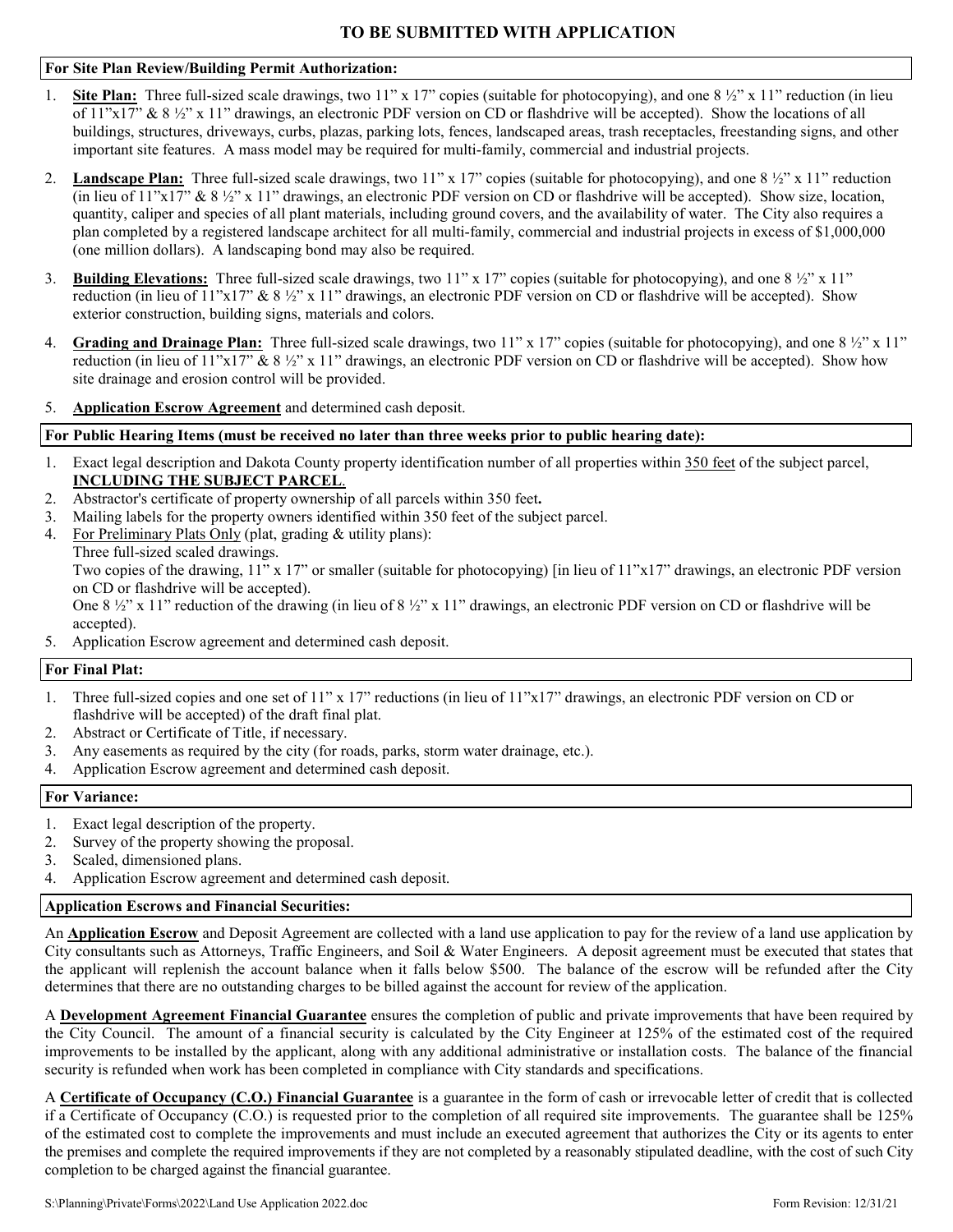### **For Site Plan Review/Building Permit Authorization:**

- 1. **Site Plan:** Three full-sized scale drawings, two 11" x 17" copies (suitable for photocopying), and one 8 ½" x 11" reduction (in lieu of  $11"x17"$  &  $8\frac{1}{2}"x11"$  drawings, an electronic PDF version on CD or flashdrive will be accepted). Show the locations of all buildings, structures, driveways, curbs, plazas, parking lots, fences, landscaped areas, trash receptacles, freestanding signs, and other important site features. A mass model may be required for multi-family, commercial and industrial projects.
- 2. Landscape Plan: Three full-sized scale drawings, two 11" x 17" copies (suitable for photocopying), and one 8  $\frac{1}{2}$ " x 11" reduction (in lieu of  $11"x17"$  &  $8\frac{1}{2}"x11"$  drawings, an electronic PDF version on CD or flashdrive will be accepted). Show size, location, quantity, caliper and species of all plant materials, including ground covers, and the availability of water. The City also requires a plan completed by a registered landscape architect for all multi-family, commercial and industrial projects in excess of \$1,000,000 (one million dollars). A landscaping bond may also be required.
- 3. **Building Elevations:** Three full-sized scale drawings, two  $11''$  x  $17''$  copies (suitable for photocopying), and one  $8\frac{1}{2}$  x  $11''$ reduction (in lieu of  $11"x17"$  &  $8\frac{1}{2}"x11"$  drawings, an electronic PDF version on CD or flashdrive will be accepted). Show exterior construction, building signs, materials and colors.
- 4. **Grading and Drainage Plan:** Three full-sized scale drawings, two 11" x 17" copies (suitable for photocopying), and one 8 ½" x 11" reduction (in lieu of  $11"x17"$  &  $8\frac{1}{2}"x11"$  drawings, an electronic PDF version on CD or flashdrive will be accepted). Show how site drainage and erosion control will be provided.
- 5. **Application Escrow Agreement** and determined cash deposit.

#### **For Public Hearing Items (must be received no later than three weeks prior to public hearing date):**

- 1. Exact legal description and Dakota County property identification number of all properties within 350 feet of the subject parcel, **INCLUDING THE SUBJECT PARCEL**.
- 2. Abstractor's certificate of property ownership of all parcels within 350 feet**.**
- 3. Mailing labels for the property owners identified within 350 feet of the subject parcel.
- 4. For Preliminary Plats Only (plat, grading & utility plans):

Three full-sized scaled drawings.

Two copies of the drawing, 11" x 17" or smaller (suitable for photocopying) [in lieu of 11"x17" drawings, an electronic PDF version on CD or flashdrive will be accepted).

One 8  $\frac{1}{2}$ " x 11" reduction of the drawing (in lieu of 8  $\frac{1}{2}$ " x 11" drawings, an electronic PDF version on CD or flashdrive will be accepted).

5. Application Escrow agreement and determined cash deposit.

### **For Final Plat:**

- 1. Three full-sized copies and one set of 11" x 17" reductions (in lieu of 11"x17" drawings, an electronic PDF version on CD or flashdrive will be accepted) of the draft final plat.
- 2. Abstract or Certificate of Title, if necessary.
- 3. Any easements as required by the city (for roads, parks, storm water drainage, etc.).
- 4. Application Escrow agreement and determined cash deposit.

#### **For Variance:**

- 1. Exact legal description of the property.
- 2. Survey of the property showing the proposal.
- 3. Scaled, dimensioned plans.
- 4. Application Escrow agreement and determined cash deposit.

## **Application Escrows and Financial Securities:**

An **Application Escrow** and Deposit Agreement are collected with a land use application to pay for the review of a land use application by City consultants such as Attorneys, Traffic Engineers, and Soil & Water Engineers. A deposit agreement must be executed that states that the applicant will replenish the account balance when it falls below \$500. The balance of the escrow will be refunded after the City determines that there are no outstanding charges to be billed against the account for review of the application.

A **Development Agreement Financial Guarantee** ensures the completion of public and private improvements that have been required by the City Council. The amount of a financial security is calculated by the City Engineer at 125% of the estimated cost of the required improvements to be installed by the applicant, along with any additional administrative or installation costs. The balance of the financial security is refunded when work has been completed in compliance with City standards and specifications.

A **Certificate of Occupancy (C.O.) Financial Guarantee** is a guarantee in the form of cash or irrevocable letter of credit that is collected if a Certificate of Occupancy (C.O.) is requested prior to the completion of all required site improvements. The guarantee shall be 125% of the estimated cost to complete the improvements and must include an executed agreement that authorizes the City or its agents to enter the premises and complete the required improvements if they are not completed by a reasonably stipulated deadline, with the cost of such City completion to be charged against the financial guarantee.